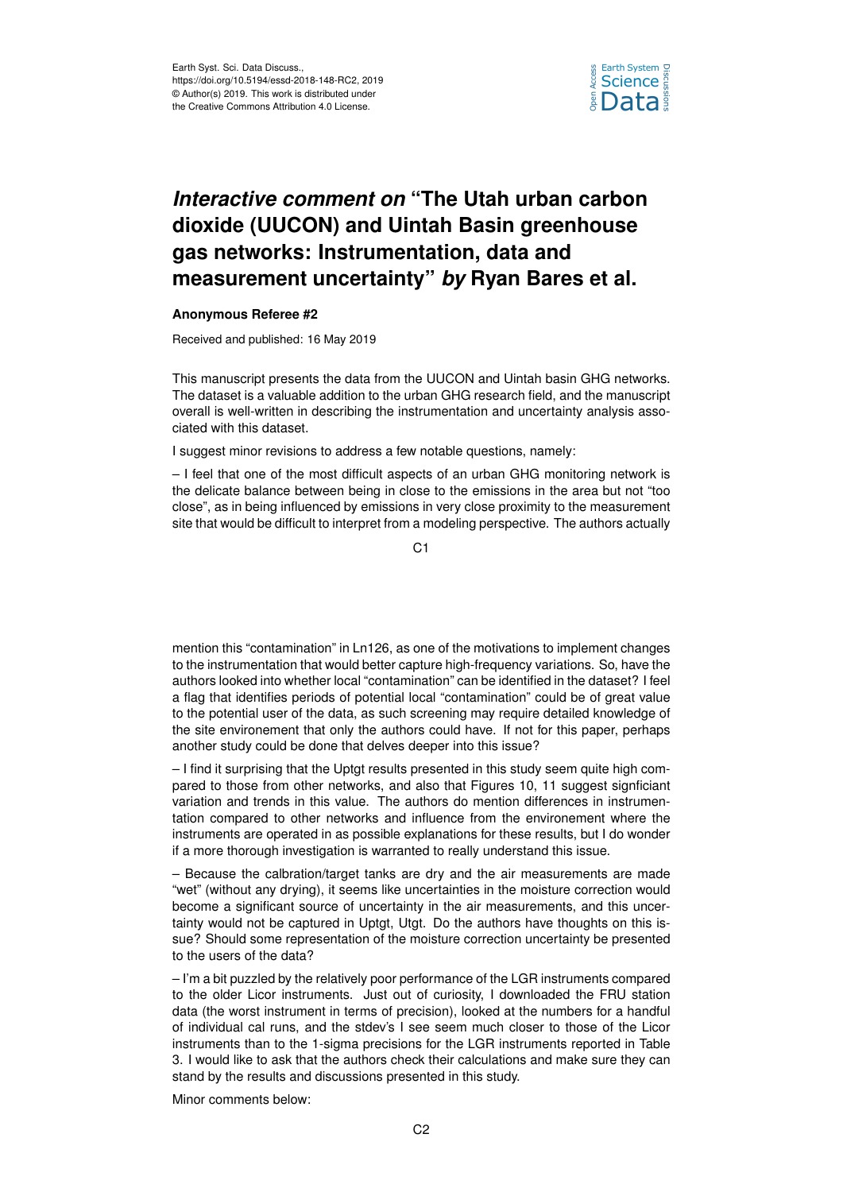

## *Interactive comment on* **"The Utah urban carbon dioxide (UUCON) and Uintah Basin greenhouse gas networks: Instrumentation, data and measurement uncertainty"** *by* **Ryan Bares et al.**

## **Anonymous Referee #2**

Received and published: 16 May 2019

This manuscript presents the data from the UUCON and Uintah basin GHG networks. The dataset is a valuable addition to the urban GHG research field, and the manuscript overall is well-written in describing the instrumentation and uncertainty analysis associated with this dataset.

I suggest minor revisions to address a few notable questions, namely:

– I feel that one of the most difficult aspects of an urban GHG monitoring network is the delicate balance between being in close to the emissions in the area but not "too close", as in being influenced by emissions in very close proximity to the measurement site that would be difficult to interpret from a modeling perspective. The authors actually

C1

mention this "contamination" in Ln126, as one of the motivations to implement changes to the instrumentation that would better capture high-frequency variations. So, have the authors looked into whether local "contamination" can be identified in the dataset? I feel a flag that identifies periods of potential local "contamination" could be of great value to the potential user of the data, as such screening may require detailed knowledge of the site environement that only the authors could have. If not for this paper, perhaps another study could be done that delves deeper into this issue?

– I find it surprising that the Uptgt results presented in this study seem quite high compared to those from other networks, and also that Figures 10, 11 suggest signficiant variation and trends in this value. The authors do mention differences in instrumentation compared to other networks and influence from the environement where the instruments are operated in as possible explanations for these results, but I do wonder if a more thorough investigation is warranted to really understand this issue.

– Because the calbration/target tanks are dry and the air measurements are made "wet" (without any drying), it seems like uncertainties in the moisture correction would become a significant source of uncertainty in the air measurements, and this uncertainty would not be captured in Uptgt, Utgt. Do the authors have thoughts on this issue? Should some representation of the moisture correction uncertainty be presented to the users of the data?

– I'm a bit puzzled by the relatively poor performance of the LGR instruments compared to the older Licor instruments. Just out of curiosity, I downloaded the FRU station data (the worst instrument in terms of precision), looked at the numbers for a handful of individual cal runs, and the stdev's I see seem much closer to those of the Licor instruments than to the 1-sigma precisions for the LGR instruments reported in Table 3. I would like to ask that the authors check their calculations and make sure they can stand by the results and discussions presented in this study.

Minor comments below: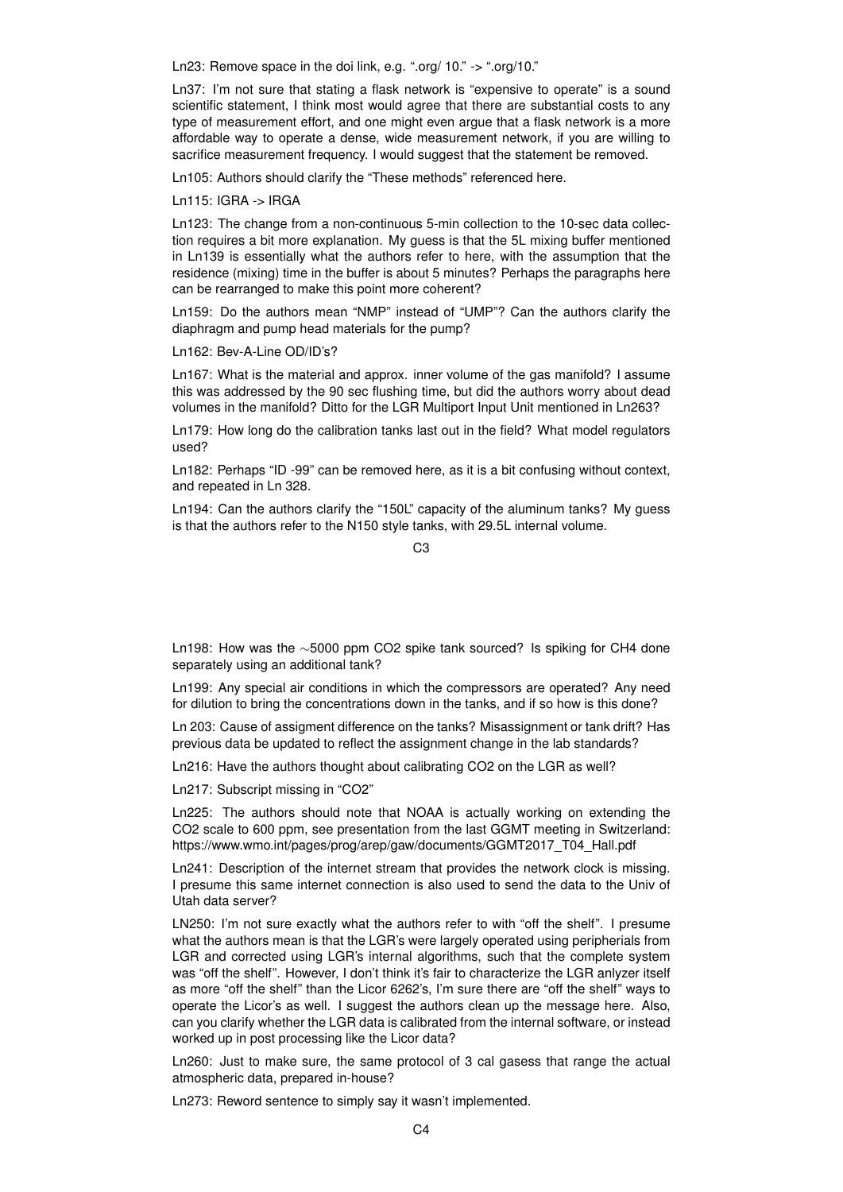Ln23: Remove space in the doi link, e.g. ".org/ 10." -> ".org/10."

Ln37: I'm not sure that stating a flask network is "expensive to operate" is a sound scientific statement, I think most would agree that there are substantial costs to any type of measurement effort, and one might even argue that a flask network is a more affordable way to operate a dense, wide measurement network, if you are willing to sacrifice measurement frequency. I would suggest that the statement be removed.

Ln105: Authors should clarify the "These methods" referenced here.

Ln115: IGRA -> IRGA

Ln123: The change from a non-continuous 5-min collection to the 10-sec data collection requires a bit more explanation. My guess is that the 5L mixing buffer mentioned in Ln139 is essentially what the authors refer to here, with the assumption that the residence (mixing) time in the buffer is about 5 minutes? Perhaps the paragraphs here can be rearranged to make this point more coherent?

Ln159: Do the authors mean "NMP" instead of "UMP"? Can the authors clarify the diaphragm and pump head materials for the pump?

Ln162: Bev-A-Line OD/ID's?

Ln167: What is the material and approx. inner volume of the gas manifold? I assume this was addressed by the 90 sec flushing time, but did the authors worry about dead volumes in the manifold? Ditto for the LGR Multiport Input Unit mentioned in Ln263?

Ln179: How long do the calibration tanks last out in the field? What model regulators used?

Ln182: Perhaps "ID -99" can be removed here, as it is a bit confusing without context, and repeated in Ln 328.

Ln194: Can the authors clarify the "150L" capacity of the aluminum tanks? My guess is that the authors refer to the N150 style tanks, with 29.5L internal volume.

 $C3$ 

Ln198: How was the ∼5000 ppm CO2 spike tank sourced? Is spiking for CH4 done separately using an additional tank?

Ln199: Any special air conditions in which the compressors are operated? Any need for dilution to bring the concentrations down in the tanks, and if so how is this done?

Ln 203: Cause of assigment difference on the tanks? Misassignment or tank drift? Has previous data be updated to reflect the assignment change in the lab standards?

Ln216: Have the authors thought about calibrating CO2 on the LGR as well?

Ln217: Subscript missing in "CO2"

Ln225: The authors should note that NOAA is actually working on extending the CO2 scale to 600 ppm, see presentation from the last GGMT meeting in Switzerland: https://www.wmo.int/pages/prog/arep/gaw/documents/GGMT2017\_T04\_Hall.pdf

Ln241: Description of the internet stream that provides the network clock is missing. I presume this same internet connection is also used to send the data to the Univ of Utah data server?

LN250: I'm not sure exactly what the authors refer to with "off the shelf". I presume what the authors mean is that the LGR's were largely operated using peripherials from LGR and corrected using LGR's internal algorithms, such that the complete system was "off the shelf". However, I don't think it's fair to characterize the LGR anlyzer itself as more "off the shelf" than the Licor 6262's, I'm sure there are "off the shelf" ways to operate the Licor's as well. I suggest the authors clean up the message here. Also, can you clarify whether the LGR data is calibrated from the internal software, or instead worked up in post processing like the Licor data?

Ln260: Just to make sure, the same protocol of 3 cal gasess that range the actual atmospheric data, prepared in-house?

Ln273: Reword sentence to simply say it wasn't implemented.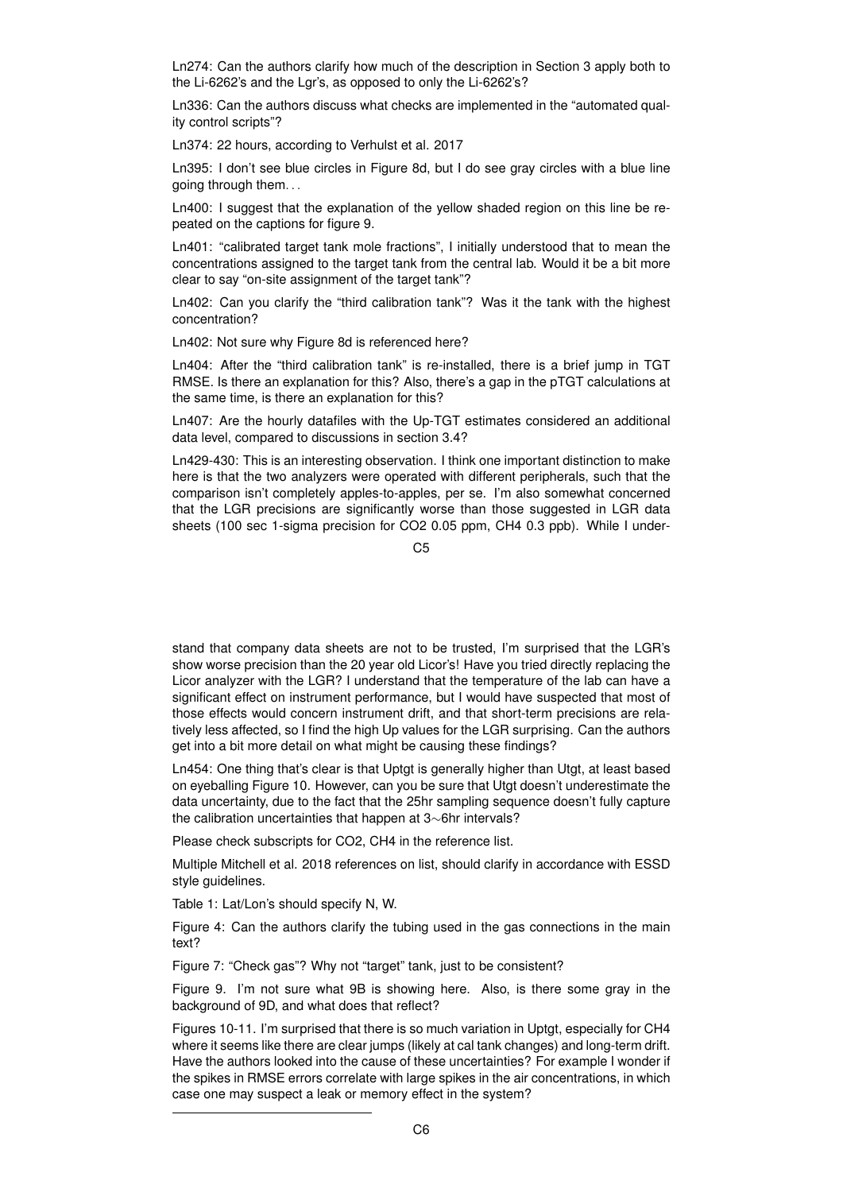Ln274: Can the authors clarify how much of the description in Section 3 apply both to the Li-6262's and the Lgr's, as opposed to only the Li-6262's?

Ln336: Can the authors discuss what checks are implemented in the "automated quality control scripts"?

Ln374: 22 hours, according to Verhulst et al. 2017

Ln395: I don't see blue circles in Figure 8d, but I do see gray circles with a blue line going through them. . .

Ln400: I suggest that the explanation of the yellow shaded region on this line be repeated on the captions for figure 9.

Ln401: "calibrated target tank mole fractions", I initially understood that to mean the concentrations assigned to the target tank from the central lab. Would it be a bit more clear to say "on-site assignment of the target tank"?

Ln402: Can you clarify the "third calibration tank"? Was it the tank with the highest concentration?

Ln402: Not sure why Figure 8d is referenced here?

Ln404: After the "third calibration tank" is re-installed, there is a brief jump in TGT RMSE. Is there an explanation for this? Also, there's a gap in the pTGT calculations at the same time, is there an explanation for this?

Ln407: Are the hourly datafiles with the Up-TGT estimates considered an additional data level, compared to discussions in section 3.4?

Ln429-430: This is an interesting observation. I think one important distinction to make here is that the two analyzers were operated with different peripherals, such that the comparison isn't completely apples-to-apples, per se. I'm also somewhat concerned that the LGR precisions are significantly worse than those suggested in LGR data sheets (100 sec 1-sigma precision for CO2 0.05 ppm, CH4 0.3 ppb). While I under-

 $C<sub>5</sub>$ 

stand that company data sheets are not to be trusted, I'm surprised that the LGR's show worse precision than the 20 year old Licor's! Have you tried directly replacing the Licor analyzer with the LGR? I understand that the temperature of the lab can have a significant effect on instrument performance, but I would have suspected that most of those effects would concern instrument drift, and that short-term precisions are relatively less affected, so I find the high Up values for the LGR surprising. Can the authors get into a bit more detail on what might be causing these findings?

Ln454: One thing that's clear is that Uptgt is generally higher than Utgt, at least based on eyeballing Figure 10. However, can you be sure that Utgt doesn't underestimate the data uncertainty, due to the fact that the 25hr sampling sequence doesn't fully capture the calibration uncertainties that happen at 3∼6hr intervals?

Please check subscripts for CO2, CH4 in the reference list.

Multiple Mitchell et al. 2018 references on list, should clarify in accordance with ESSD style guidelines.

Table 1: Lat/Lon's should specify N, W.

Figure 4: Can the authors clarify the tubing used in the gas connections in the main text?

Figure 7: "Check gas"? Why not "target" tank, just to be consistent?

Figure 9. I'm not sure what 9B is showing here. Also, is there some gray in the background of 9D, and what does that reflect?

Figures 10-11. I'm surprised that there is so much variation in Uptgt, especially for CH4 where it seems like there are clear jumps (likely at cal tank changes) and long-term drift. Have the authors looked into the cause of these uncertainties? For example I wonder if the spikes in RMSE errors correlate with large spikes in the air concentrations, in which case one may suspect a leak or memory effect in the system?